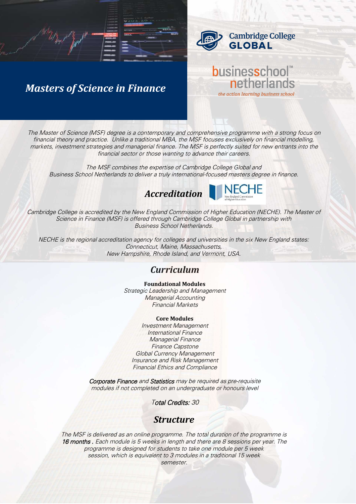

businesschool

netherlands

the action learning business school

# *Masters of Science in Finance*

*The Master of Science (MSF) degree is a contemporary and comprehensive programme with a strong focus on financial theory and practice. Unlike a traditional MBA, the MSF focuses exclusively on financial modelling,*  markets, investment strategies and managerial finance. The MSF is perfectly suited for new entrants into the *financial sector or those wanting to advance their careers.*

*The MSF combines the expertise of Cambridge College Global and Business School Netherlands to deliver a truly international-focused masters degree in finance.*





*Cambridge College is accredited by the New England Commission of Higher Education (NECHE). The Master of Science in Finance (MSF) is offered through Cambridge College Global in partnership with Business School Netherlands.* 

*NECHE is the regional accreditation agency for colleges and universities in the six New England states: Connecticut, Maine, Massachusetts, New Hampshire, Rhode Island, and Vermont, USA.* 

### *Curriculum*

#### **Foundational Modules**

*Strategic Leadership and Management Managerial Accounting Financial Markets*

### **Core Modules**

*Investment Management International Finance Managerial Finance Finance Capstone Global Currency Management Insurance and Risk Management Financial Ethics and Compliance*

*Corporate Finance and Statistics may be required as pre-requisite modules if not completed on an undergraduate or honours level*

*Total Credits: 30* 

### *Structure*

*The MSF is delivered as an online programme. The total duration of the programme is 16 months . Each module is 5 weeks in length and there are 8 sessions per year. The programme is designed for students to take one module per 5 week session, which is equivalent to 3 modules in a traditional 15 week semester.*